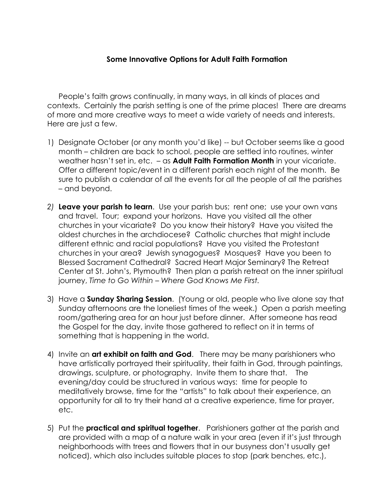## **Some Innovative Options for Adult Faith Formation**

People's faith grows continually, in many ways, in all kinds of places and contexts. Certainly the parish setting is one of the prime places! There are dreams of more and more creative ways to meet a wide variety of needs and interests. Here are just a few.

- 1) Designate October (or any month you'd like) -- but October seems like a good month – children are back to school, people are settled into routines, winter weather hasn't set in, etc. – as **Adult Faith Formation Month** in your vicariate. Offer a different topic/event in a different parish each night of the month. Be sure to publish a calendar of *all* the events for *all* the people of *all* the parishes – and beyond.
- *2)* **Leave your parish to learn**. Use your parish bus; rent one; use your own vans and travel. Tour; expand your horizons. Have you visited all the other churches in your vicariate? Do you know their history? Have you visited the oldest churches in the archdiocese? Catholic churches that might include different ethnic and racial populations? Have you visited the Protestant churches in your area? Jewish synagogues? Mosques? Have you been to Blessed Sacrament Cathedral? Sacred Heart Major Seminary? The Retreat Center at St. John's, Plymouth? Then plan a parish retreat on the inner spiritual journey, *Time to Go Within – Where God Knows Me First.*
- 3) Have a **Sunday Sharing Session**. (Young or old, people who live alone say that Sunday afternoons are the loneliest times of the week.) Open a parish meeting room/gathering area for an hour just before dinner. After someone has read the Gospel for the day, invite those gathered to reflect on it in terms of something that is happening in the world.
- 4) Invite an **art exhibit on faith and God**. There may be many parishioners who have artistically portrayed their spirituality, their faith in God, through paintings, drawings, sculpture, or photography. Invite them to share that. The evening/day could be structured in various ways: time for people to meditatively browse, time for the "artists" to talk about their experience, an opportunity for all to try their hand at a creative experience, time for prayer, etc.
- 5) Put the **practical and spiritual together**. Parishioners gather at the parish and are provided with a map of a nature walk in your area (even if it's just through neighborhoods with trees and flowers that in our busyness don't usually get noticed), which also includes suitable places to stop (park benches, etc.),